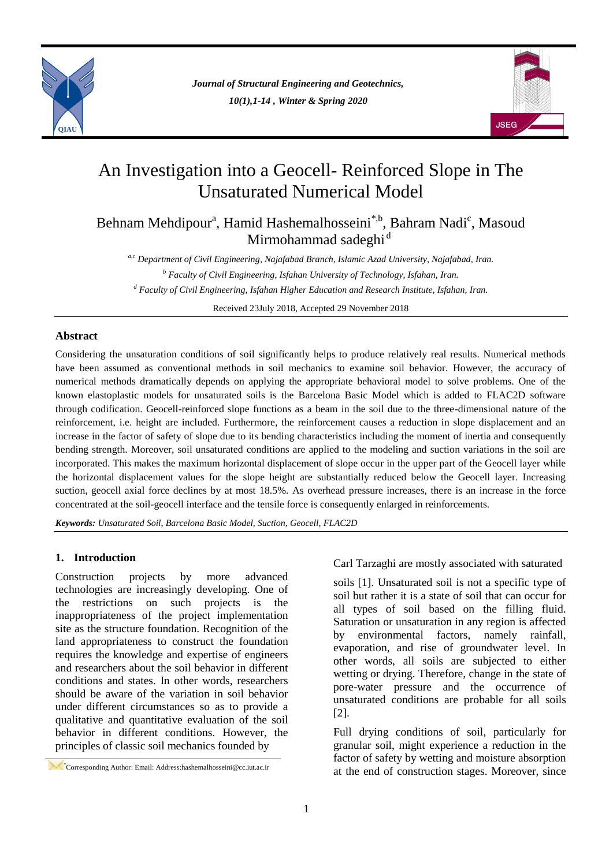

*Journal of Structural Engineering and Geotechnics, 10(1),1-14 , Winter & Spring 2020*



# An Investigation into a Geocell- Reinforced Slope in The Unsaturated Numerical Model

Behnam Mehdipour<sup>a</sup>, Hamid Hashemalhosseini<sup>\*,b</sup>, Bahram Nadi<sup>c</sup>, Masoud Mirmohammad sadeghi<sup>d</sup>

*a,c Department of Civil Engineering, Najafabad Branch, Islamic Azad University, Najafabad, Iran. <sup>b</sup> Faculty of Civil Engineering, Isfahan University of Technology, Isfahan, Iran. <sup>d</sup> Faculty of Civil Engineering, Isfahan Higher Education and Research Institute, Isfahan, Iran.*

Received 23July 2018, Accepted 29 November 2018

### **Abstract**

Considering the unsaturation conditions of soil significantly helps to produce relatively real results. Numerical methods have been assumed as conventional methods in soil mechanics to examine soil behavior. However, the accuracy of numerical methods dramatically depends on applying the appropriate behavioral model to solve problems. One of the known elastoplastic models for unsaturated soils is the Barcelona Basic Model which is added to FLAC2D software through codification. Geocell-reinforced slope functions as a beam in the soil due to the three-dimensional nature of the reinforcement, i.e. height are included. Furthermore, the reinforcement causes a reduction in slope displacement and an increase in the factor of safety of slope due to its bending characteristics including the moment of inertia and consequently bending strength. Moreover, soil unsaturated conditions are applied to the modeling and suction variations in the soil are incorporated. This makes the maximum horizontal displacement of slope occur in the upper part of the Geocell layer while the horizontal displacement values for the slope height are substantially reduced below the Geocell layer. Increasing suction, geocell axial force declines by at most 18.5%. As overhead pressure increases, there is an increase in the force concentrated at the soil-geocell interface and the tensile force is consequently enlarged in reinforcements.

*Keywords: Unsaturated Soil, Barcelona Basic Model, Suction, Geocell, FLAC2D*

# **1. Introduction**

Construction projects by more advanced technologies are increasingly developing. One of the restrictions on such projects is the inappropriateness of the project implementation site as the structure foundation. Recognition of the land appropriateness to construct the foundation requires the knowledge and expertise of engineers and researchers about the soil behavior in different conditions and states. In other words, researchers should be aware of the variation in soil behavior under different circumstances so as to provide a qualitative and quantitative evaluation of the soil behavior in different conditions. However, the principles of classic soil mechanics founded by

Carl Tarzaghi are mostly associated with saturated

soils [1]. Unsaturated soil is not a specific type of soil but rather it is a state of soil that can occur for all types of soil based on the filling fluid. Saturation or unsaturation in any region is affected by environmental factors, namely rainfall, evaporation, and rise of groundwater level. In other words, all soils are subjected to either wetting or drying. Therefore, change in the state of pore-water pressure and the occurrence of unsaturated conditions are probable for all soils [2].

Full drying conditions of soil, particularly for granular soil, might experience a reduction in the factor of safety by wetting and moisture absorption at the end of construction stages. Moreover, since

<sup>\*</sup>Corresponding Author: Email: Address:hashemalhosseini@cc.iut.ac.ir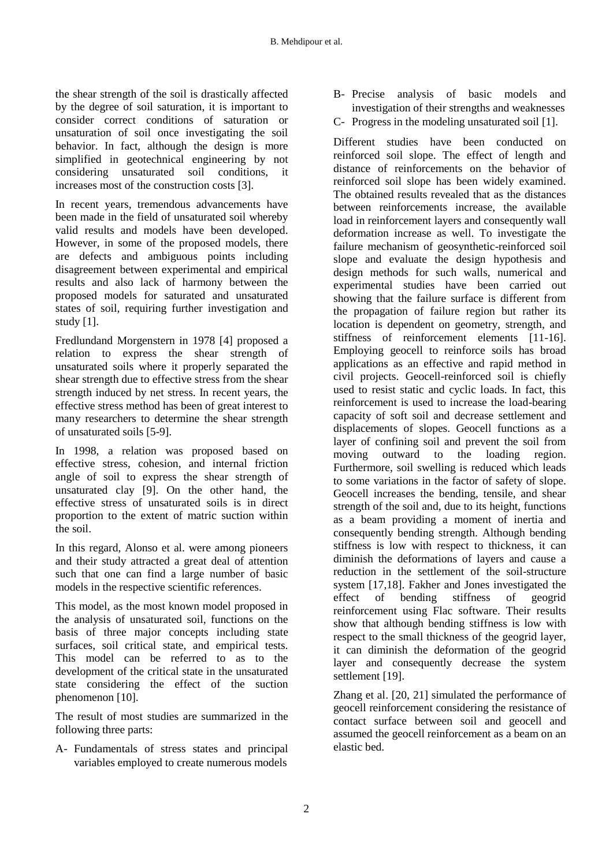the shear strength of the soil is drastically affected by the degree of soil saturation, it is important to consider correct conditions of saturation or unsaturation of soil once investigating the soil behavior. In fact, although the design is more simplified in geotechnical engineering by not considering unsaturated soil conditions, it increases most of the construction costs [3].

In recent years, tremendous advancements have been made in the field of unsaturated soil whereby valid results and models have been developed. However, in some of the proposed models, there are defects and ambiguous points including disagreement between experimental and empirical results and also lack of harmony between the proposed models for saturated and unsaturated states of soil, requiring further investigation and study [1].

Fredlundand Morgenstern in 1978 [4] proposed a relation to express the shear strength of unsaturated soils where it properly separated the shear strength due to effective stress from the shear strength induced by net stress. In recent years, the effective stress method has been of great interest to many researchers to determine the shear strength of unsaturated soils [5-9].

In 1998, a relation was proposed based on effective stress, cohesion, and internal friction angle of soil to express the shear strength of unsaturated clay [9]. On the other hand, the effective stress of unsaturated soils is in direct proportion to the extent of matric suction within the soil.

In this regard, Alonso et al. were among pioneers and their study attracted a great deal of attention such that one can find a large number of basic models in the respective scientific references.

This model, as the most known model proposed in the analysis of unsaturated soil, functions on the basis of three major concepts including state surfaces, soil critical state, and empirical tests. This model can be referred to as to the development of the critical state in the unsaturated state considering the effect of the suction phenomenon [10].

The result of most studies are summarized in the following three parts:

A- Fundamentals of stress states and principal variables employed to create numerous models

- B- Precise analysis of basic models and investigation of their strengths and weaknesses
- C- Progress in the modeling unsaturated soil [1].

Different studies have been conducted on reinforced soil slope. The effect of length and distance of reinforcements on the behavior of reinforced soil slope has been widely examined. The obtained results revealed that as the distances between reinforcements increase, the available load in reinforcement layers and consequently wall deformation increase as well. To investigate the failure mechanism of geosynthetic-reinforced soil slope and evaluate the design hypothesis and design methods for such walls, numerical and experimental studies have been carried out showing that the failure surface is different from the propagation of failure region but rather its location is dependent on geometry, strength, and stiffness of reinforcement elements [11-16]. Employing geocell to reinforce soils has broad applications as an effective and rapid method in civil projects. Geocell-reinforced soil is chiefly used to resist static and cyclic loads. In fact, this reinforcement is used to increase the load-bearing capacity of soft soil and decrease settlement and displacements of slopes. Geocell functions as a layer of confining soil and prevent the soil from moving outward to the loading region. Furthermore, soil swelling is reduced which leads to some variations in the factor of safety of slope. Geocell increases the bending, tensile, and shear strength of the soil and, due to its height, functions as a beam providing a moment of inertia and consequently bending strength. Although bending stiffness is low with respect to thickness, it can diminish the deformations of layers and cause a reduction in the settlement of the soil-structure system [17,18]. Fakher and Jones investigated the effect of bending stiffness of geogrid reinforcement using Flac software. Their results show that although bending stiffness is low with respect to the small thickness of the geogrid layer, it can diminish the deformation of the geogrid layer and consequently decrease the system settlement [19].

Zhang et al. [20, 21] simulated the performance of geocell reinforcement considering the resistance of contact surface between soil and geocell and assumed the geocell reinforcement as a beam on an elastic bed.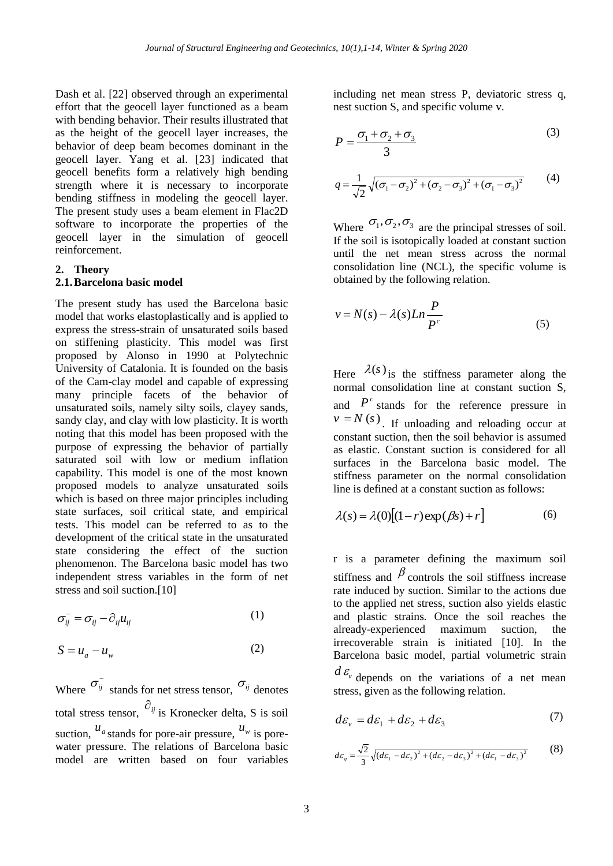Dash et al. [22] observed through an experimental effort that the geocell layer functioned as a beam with bending behavior. Their results illustrated that as the height of the geocell layer increases, the behavior of deep beam becomes dominant in the geocell layer. Yang et al. [23] indicated that geocell benefits form a relatively high bending strength where it is necessary to incorporate bending stiffness in modeling the geocell layer. The present study uses a beam element in Flac2D software to incorporate the properties of the geocell layer in the simulation of geocell reinforcement.

#### **2. Theory**

## **2.1.Barcelona basic model**

The present study has used the Barcelona basic model that works elastoplastically and is applied to express the stress-strain of unsaturated soils based on stiffening plasticity. This model was first proposed by Alonso in 1990 at Polytechnic University of Catalonia. It is founded on the basis of the Cam-clay model and capable of expressing many principle facets of the behavior of unsaturated soils, namely silty soils, clayey sands, sandy clay, and clay with low plasticity. It is worth noting that this model has been proposed with the purpose of expressing the behavior of partially saturated soil with low or medium inflation capability. This model is one of the most known proposed models to analyze unsaturated soils which is based on three major principles including state surfaces, soil critical state, and empirical tests. This model can be referred to as to the development of the critical state in the unsaturated state considering the effect of the suction phenomenon. The Barcelona basic model has two independent stress variables in the form of net stress and soil suction.[10]

$$
\sigma_{ij}^- = \sigma_{ij} - \partial_{ij} u_{ij} \tag{1}
$$

$$
S = u_a - u_w \tag{2}
$$

Where  $\sigma_{ij}^$ stands for net stress tensor,  $\sigma_{ij}$  denotes total stress tensor,  $\partial_{ij}$  is Kronecker delta, S is soil suction,  $u_a$  stands for pore-air pressure,  $u_w$  is porewater pressure. The relations of Barcelona basic model are written based on four variables

including net mean stress P, deviatoric stress q, nest suction S, and specific volume v.

$$
P = \frac{\sigma_1 + \sigma_2 + \sigma_3}{3} \tag{3}
$$

$$
q = \frac{1}{\sqrt{2}} \sqrt{(\sigma_1 - \sigma_2)^2 + (\sigma_2 - \sigma_3)^2 + (\sigma_1 - \sigma_3)^2}
$$
 (4)

Where  $\sigma_1, \sigma_2, \sigma_3$  are the principal stresses of soil. If the soil is isotopically loaded at constant suction until the net mean stress across the normal consolidation line (NCL), the specific volume is obtained by the following relation.

$$
v = N(s) - \lambda(s)Ln\frac{P}{P^c}
$$
 (5)

Here  $\lambda(s)$  is the stiffness parameter along the normal consolidation line at constant suction S, and  $P^c$  stands for the reference pressure in  $v = N(s)$ . If unloading and reloading occur at constant suction, then the soil behavior is assumed as elastic. Constant suction is considered for all surfaces in the Barcelona basic model. The stiffness parameter on the normal consolidation line is defined at a constant suction as follows:

$$
\lambda(s) = \lambda(0)[(1 - r)\exp(\beta s) + r] \tag{6}
$$

r is a parameter defining the maximum soil stiffness and  $\beta$  controls the soil stiffness increase rate induced by suction. Similar to the actions due to the applied net stress, suction also yields elastic and plastic strains. Once the soil reaches the already-experienced maximum suction, the irrecoverable strain is initiated [10]. In the Barcelona basic model, partial volumetric strain

 $d\mathcal{E}_{\nu}$  depends on the variations of a net mean stress, given as the following relation.

$$
d\varepsilon_{v} = d\varepsilon_{1} + d\varepsilon_{2} + d\varepsilon_{3} \tag{7}
$$

$$
d\varepsilon_q = \frac{\sqrt{2}}{3} \sqrt{(d\varepsilon_1 - d\varepsilon_2)^2 + (d\varepsilon_2 - d\varepsilon_3)^2 + (d\varepsilon_1 - d\varepsilon_3)^2}
$$
 (8)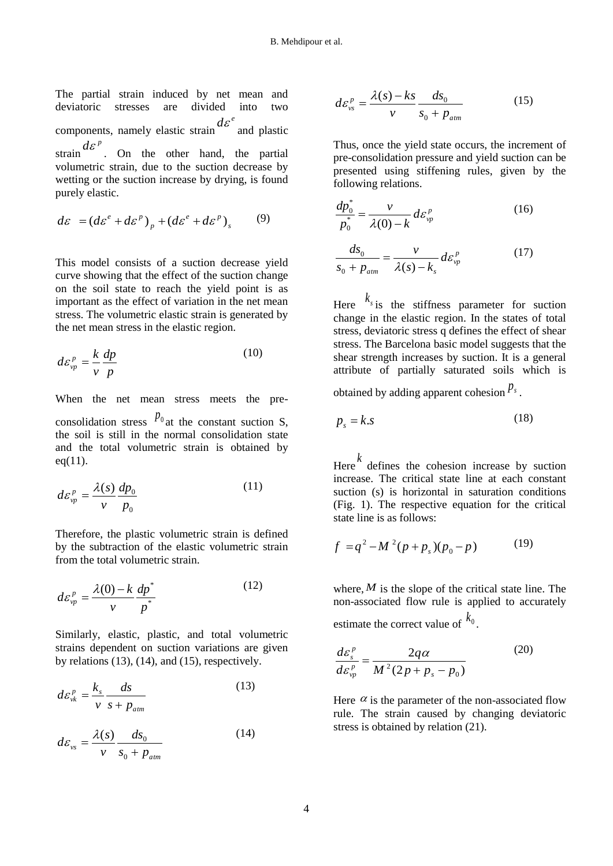The partial strain induced by net mean and deviatoric stresses are divided into two components, namely elastic strain  $d\varepsilon^e$  and plastic strain  $d\varepsilon^p$ . On the other hand, the partial volumetric strain, due to the suction decrease by wetting or the suction increase by drying, is found purely elastic.

$$
d\varepsilon = (d\varepsilon^e + d\varepsilon^p)_p + (d\varepsilon^e + d\varepsilon^p)_s \qquad (9)
$$

This model consists of a suction decrease yield curve showing that the effect of the suction change on the soil state to reach the yield point is as important as the effect of variation in the net mean stress. The volumetric elastic strain is generated by the net mean stress in the elastic region.

$$
d\varepsilon_{\nu p}^p = \frac{k}{\nu} \frac{dp}{p} \tag{10}
$$

When the net mean stress meets the preconsolidation stress  $p_0$  at the constant suction S, the soil is still in the normal consolidation state and the total volumetric strain is obtained by  $eq(11)$ .

$$
d\varepsilon_{vp}^p = \frac{\lambda(s)}{v} \frac{dp_0}{p_0} \tag{11}
$$

Therefore, the plastic volumetric strain is defined by the subtraction of the elastic volumetric strain from the total volumetric strain.

$$
d\varepsilon_{vp}^p = \frac{\lambda(0) - k}{v} \frac{dp^*}{p^*}
$$
 (12)

Similarly, elastic, plastic, and total volumetric strains dependent on suction variations are given by relations  $(13)$ ,  $(14)$ , and  $(15)$ , respectively.

$$
d\varepsilon_{vk}^p = \frac{k_s}{v} \frac{ds}{s + p_{atm}}
$$
 (13)

$$
d\varepsilon_{\scriptscriptstyle vs} = \frac{\lambda(s)}{v} \frac{ds_0}{s_0 + p_{\scriptscriptstyle atm}} \tag{14}
$$

$$
d\varepsilon_{vs}^p = \frac{\lambda(s) - ks}{v} \frac{ds_0}{s_0 + p_{atm}}
$$
 (15)

Thus, once the yield state occurs, the increment of pre-consolidation pressure and yield suction can be presented using stiffening rules, given by the following relations.

$$
\frac{dp_0^*}{p_0^*} = \frac{v}{\lambda(0) - k} d\varepsilon_{vp}^p \tag{16}
$$

$$
\frac{ds_0}{s_0 + p_{\text{atm}}} = \frac{v}{\lambda(s) - k_s} d\varepsilon_{vp}^p \tag{17}
$$

Here  $k_{s}$  is the stiffness parameter for suction change in the elastic region. In the states of total stress, deviatoric stress q defines the effect of shear stress. The Barcelona basic model suggests that the shear strength increases by suction. It is a general attribute of partially saturated soils which is

obtained by adding apparent cohesion  $P_s$ .

$$
p_s = k \cdot s \tag{18}
$$

Here *k* defines the cohesion increase by suction increase. The critical state line at each constant suction (s) is horizontal in saturation conditions (Fig. 1). The respective equation for the critical state line is as follows:

$$
f = q^2 - M^2 (p + p_s)(p_0 - p)
$$
 (19)

where,  $M$  is the slope of the critical state line. The non-associated flow rule is applied to accurately estimate the correct value of  $k_0$ .

$$
\frac{d\varepsilon_s^p}{d\varepsilon_{vp}^p} = \frac{2q\alpha}{M^2(2p + p_s - p_0)}
$$
(20)

Here  $\alpha$  is the parameter of the non-associated flow rule. The strain caused by changing deviatoric stress is obtained by relation (21).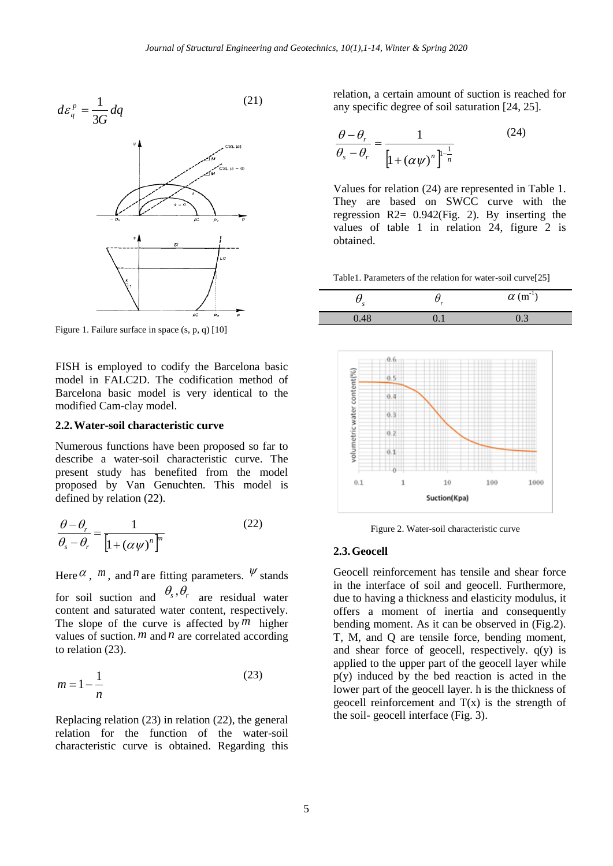$$
d\varepsilon_q^p = \frac{1}{3G} dq \tag{21}
$$



Figure 1. Failure surface in space (s, p, q) [10]

FISH is employed to codify the Barcelona basic model in FALC2D. The codification method of Barcelona basic model is very identical to the modified Cam-clay model.

#### **2.2.Water-soil characteristic curve**

Numerous functions have been proposed so far to describe a water-soil characteristic curve. The present study has benefited from the model proposed by Van Genuchten. This model is defined by relation (22).

$$
\frac{\theta - \theta_r}{\theta_s - \theta_r} = \frac{1}{\left[1 + (\alpha \psi)^n\right]^m}
$$
(22)

Here  $\alpha$ ,  $m$ , and  $n$  are fitting parameters.  $\Psi$  stands for soil suction and  $\theta_s$ ,  $\theta_r$  are residual water content and saturated water content, respectively. The slope of the curve is affected by  $\overline{m}$  higher values of suction.  $m$  and  $n$  are correlated according to relation (23).

$$
m = 1 - \frac{1}{n} \tag{23}
$$

Replacing relation (23) in relation (22), the general relation for the function of the water-soil characteristic curve is obtained. Regarding this relation, a certain amount of suction is reached for any specific degree of soil saturation [24, 25].

$$
\frac{\theta - \theta_r}{\theta_s - \theta_r} = \frac{1}{\left[1 + (\alpha \psi)^n\right]^{1-\frac{1}{n}}}
$$
(24)

Values for relation (24) are represented in Table 1. They are based on SWCC curve with the regression R2= 0.942(Fig. 2). By inserting the values of table 1 in relation 24, figure 2 is obtained.

Table1. Parameters of the relation for water-soil curve[25]

| ×.   | $\alpha$ (m <sup>-1</sup> ) |
|------|-----------------------------|
| 0.48 | U.                          |



Figure 2. Water-soil characteristic curve

#### **2.3.Geocell**

Geocell reinforcement has tensile and shear force in the interface of soil and geocell. Furthermore, due to having a thickness and elasticity modulus, it offers a moment of inertia and consequently bending moment. As it can be observed in (Fig.2). T, M, and Q are tensile force, bending moment, and shear force of geocell, respectively.  $q(y)$  is applied to the upper part of the geocell layer while p(y) induced by the bed reaction is acted in the lower part of the geocell layer. h is the thickness of geocell reinforcement and  $T(x)$  is the strength of the soil- geocell interface (Fig. 3).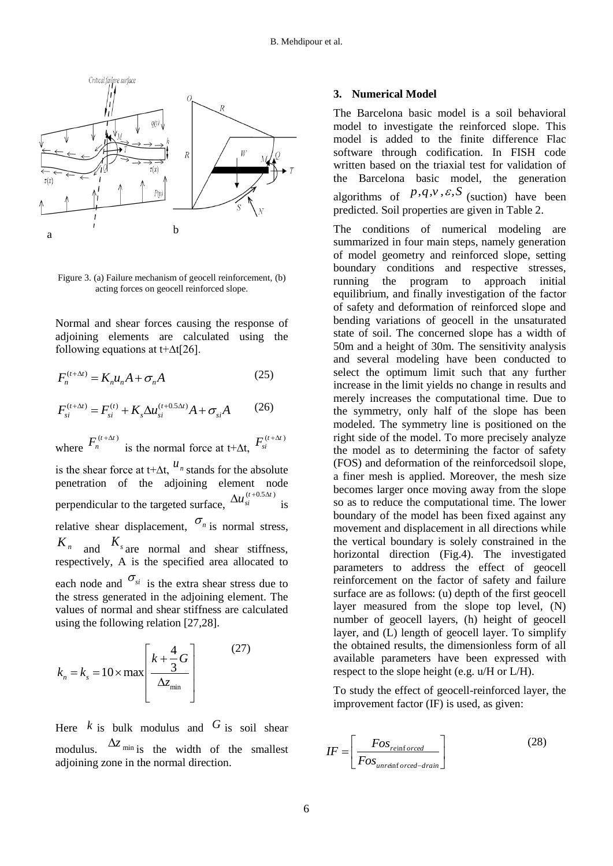

Figure 3. (a) Failure mechanism of geocell reinforcement, (b) acting forces on geocell reinforced slope.

Normal and shear forces causing the response of adjoining elements are calculated using the following equations at t+∆t[26].

$$
F_n^{(t+\Delta t)} = K_n u_n A + \sigma_n A \tag{25}
$$

$$
F_{si}^{(t+\Delta t)} = F_{si}^{(t)} + K_s \Delta u_{si}^{(t+0.5\Delta t)} A + \sigma_{si} A
$$
 (26)

where  $F_n^{(t+\Delta t)}$  $+\Delta$ is the normal force at t+ $\Delta t$ ,  $F_{si}^{(t+\Delta t)}$ 

is the shear force at t+ $\Delta t$ ,  $u_n$  stands for the absolute penetration of the adjoining element node perpendicular to the targeted surface,  $\Delta u_{si}^{(t+0.5\Delta t)}$ is relative shear displacement,  $\sigma_n$  is normal stress,  $K_n$  and  $K_s$  are normal and shear stiffness, respectively, A is the specified area allocated to each node and  $\sigma_{si}$  is the extra shear stress due to the stress generated in the adjoining element. The values of normal and shear stiffness are calculated using the following relation [27,28].

$$
k_n = k_s = 10 \times \max \left[ \frac{k + \frac{4}{3}G}{\Delta z_{\min}} \right] \tag{27}
$$

Here  $k$  is bulk modulus and  $G$  is soil shear modulus.  $\Delta z$ <sub>min</sub> is the width of the smallest adjoining zone in the normal direction.

#### **3. Numerical Model**

The Barcelona basic model is a soil behavioral model to investigate the reinforced slope. This model is added to the finite difference Flac software through codification. In FISH code written based on the triaxial test for validation of the Barcelona basic model, the generation algorithms of  $P, q, v, \varepsilon, S$  (suction) have been predicted. Soil properties are given in Table 2.

The conditions of numerical modeling are summarized in four main steps, namely generation of model geometry and reinforced slope, setting boundary conditions and respective stresses, running the program to approach initial equilibrium, and finally investigation of the factor of safety and deformation of reinforced slope and bending variations of geocell in the unsaturated state of soil. The concerned slope has a width of 50m and a height of 30m. The sensitivity analysis and several modeling have been conducted to select the optimum limit such that any further increase in the limit yields no change in results and merely increases the computational time. Due to the symmetry, only half of the slope has been modeled. The symmetry line is positioned on the right side of the model. To more precisely analyze the model as to determining the factor of safety (FOS) and deformation of the reinforcedsoil slope, a finer mesh is applied. Moreover, the mesh size becomes larger once moving away from the slope so as to reduce the computational time. The lower boundary of the model has been fixed against any movement and displacement in all directions while the vertical boundary is solely constrained in the horizontal direction (Fig.4). The investigated parameters to address the effect of geocell reinforcement on the factor of safety and failure surface are as follows: (u) depth of the first geocell layer measured from the slope top level, (N) number of geocell layers, (h) height of geocell layer, and (L) length of geocell layer. To simplify the obtained results, the dimensionless form of all available parameters have been expressed with respect to the slope height (e.g. u/H or L/H).

To study the effect of geocell-reinforced layer, the improvement factor (IF) is used, as given:

$$
IF = \left[ \frac{Fos_{reinforced}}{Fos_{unreinforced-drain}} \right]
$$
 (28)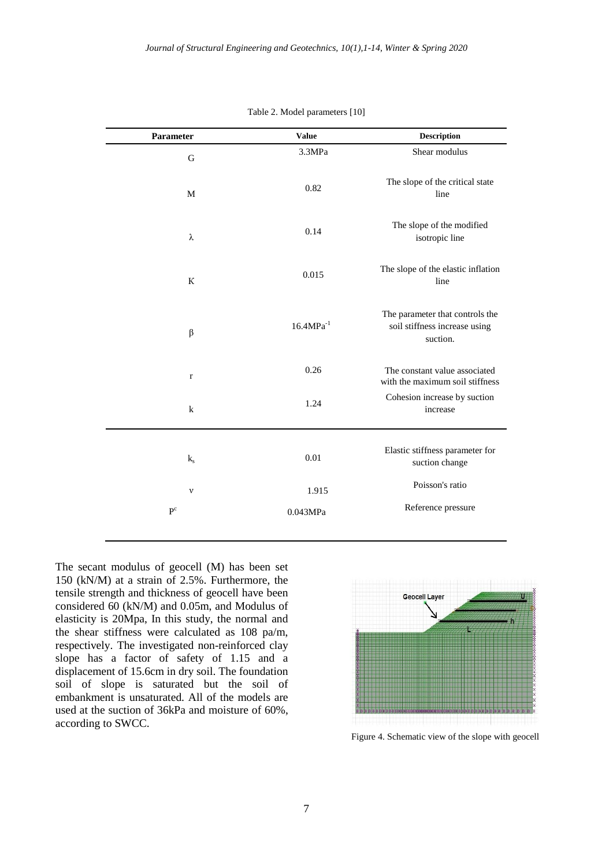| Parameter   | <b>Value</b>   | <b>Description</b>                                                           |
|-------------|----------------|------------------------------------------------------------------------------|
| G           | 3.3MPa         | Shear modulus                                                                |
| M           | 0.82           | The slope of the critical state<br>line                                      |
| λ           | 0.14           | The slope of the modified<br>isotropic line                                  |
| К           | 0.015          | The slope of the elastic inflation<br>line                                   |
| $\beta$     | $16.4MPa^{-1}$ | The parameter that controls the<br>soil stiffness increase using<br>suction. |
| $\mathbf r$ | 0.26           | The constant value associated<br>with the maximum soil stiffness             |
| $\bf k$     | 1.24           | Cohesion increase by suction<br>increase                                     |
| $k_{s}$     | 0.01           | Elastic stiffness parameter for<br>suction change                            |
| $\mathbf v$ | 1.915          | Poisson's ratio                                                              |
| $P^c$       | 0.043MPa       | Reference pressure                                                           |

Table 2. Model parameters [10]

The secant modulus of geocell (M) has been set 150 (kN/M) at a strain of 2.5%. Furthermore, the tensile strength and thickness of geocell have been considered 60 (kN/M) and 0.05m, and Modulus of elasticity is 20Mpa, In this study, the normal and the shear stiffness were calculated as 108 pa/m, respectively. The investigated non-reinforced clay slope has a factor of safety of 1.15 and a displacement of 15.6cm in dry soil. The foundation soil of slope is saturated but the soil of embankment is unsaturated. All of the models are used at the suction of 36kPa and moisture of 60%, according to SWCC.



Figure 4. Schematic view of the slope with geocell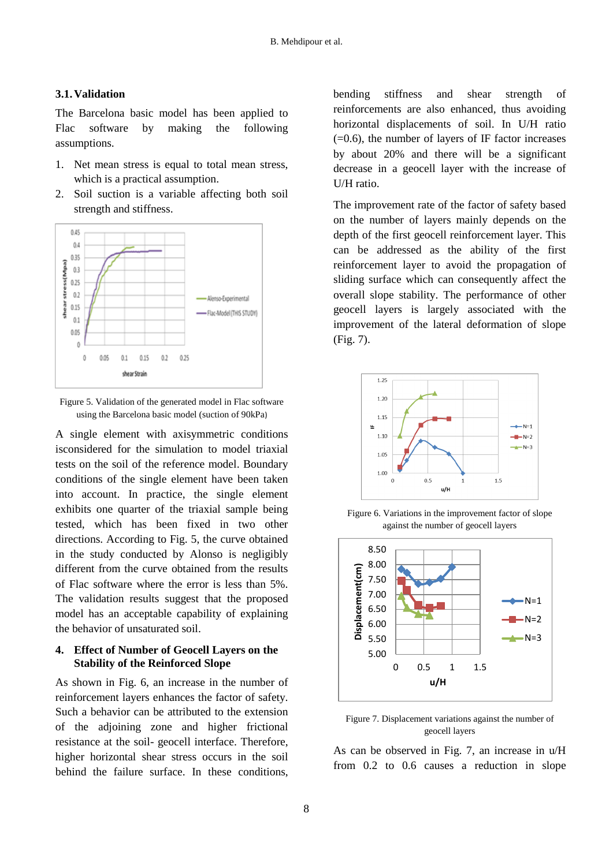## **3.1.Validation**

The Barcelona basic model has been applied to Flac software by making the following assumptions.

- 1. Net mean stress is equal to total mean stress, which is a practical assumption.
- 2. Soil suction is a variable affecting both soil strength and stiffness.



Figure 5. Validation of the generated model in Flac software using the Barcelona basic model (suction of 90kPa)

A single element with axisymmetric conditions isconsidered for the simulation to model triaxial tests on the soil of the reference model. Boundary conditions of the single element have been taken into account. In practice, the single element exhibits one quarter of the triaxial sample being tested, which has been fixed in two other directions. According to Fig. 5, the curve obtained in the study conducted by Alonso is negligibly different from the curve obtained from the results of Flac software where the error is less than 5%. The validation results suggest that the proposed model has an acceptable capability of explaining the behavior of unsaturated soil.

## **4. Effect of Number of Geocell Layers on the Stability of the Reinforced Slope**

As shown in Fig. 6, an increase in the number of reinforcement layers enhances the factor of safety. Such a behavior can be attributed to the extension of the adjoining zone and higher frictional resistance at the soil- geocell interface. Therefore, higher horizontal shear stress occurs in the soil behind the failure surface. In these conditions, bending stiffness and shear strength of reinforcements are also enhanced, thus avoiding horizontal displacements of soil. In U/H ratio  $(=0.6)$ , the number of layers of IF factor increases by about 20% and there will be a significant decrease in a geocell layer with the increase of U/H ratio.

The improvement rate of the factor of safety based on the number of layers mainly depends on the depth of the first geocell reinforcement layer. This can be addressed as the ability of the first reinforcement layer to avoid the propagation of sliding surface which can consequently affect the overall slope stability. The performance of other geocell layers is largely associated with the improvement of the lateral deformation of slope (Fig. 7).



Figure 6. Variations in the improvement factor of slope against the number of geocell layers



Figure 7. Displacement variations against the number of geocell layers

As can be observed in Fig. 7, an increase in u/H from 0.2 to 0.6 causes a reduction in slope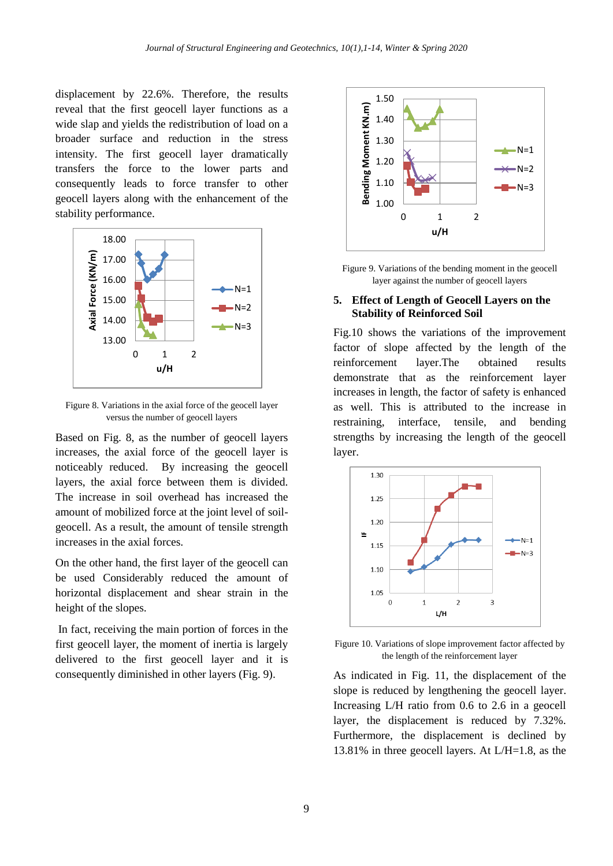displacement by 22.6%. Therefore, the results reveal that the first geocell layer functions as a wide slap and yields the redistribution of load on a broader surface and reduction in the stress intensity. The first geocell layer dramatically transfers the force to the lower parts and consequently leads to force transfer to other geocell layers along with the enhancement of the stability performance.



Figure 8. Variations in the axial force of the geocell layer versus the number of geocell layers

Based on Fig. 8, as the number of geocell layers increases, the axial force of the geocell layer is noticeably reduced. By increasing the geocell layers, the axial force between them is divided. The increase in soil overhead has increased the amount of mobilized force at the joint level of soilgeocell. As a result, the amount of tensile strength increases in the axial forces.

On the other hand, the first layer of the geocell can be used Considerably reduced the amount of horizontal displacement and shear strain in the height of the slopes.

In fact, receiving the main portion of forces in the first geocell layer, the moment of inertia is largely delivered to the first geocell layer and it is consequently diminished in other layers (Fig. 9).



Figure 9. Variations of the bending moment in the geocell layer against the number of geocell layers

#### **5. Effect of Length of Geocell Layers on the Stability of Reinforced Soil**

Fig.10 shows the variations of the improvement factor of slope affected by the length of the reinforcement layer.The obtained results demonstrate that as the reinforcement layer increases in length, the factor of safety is enhanced as well. This is attributed to the increase in restraining, interface, tensile, and bending strengths by increasing the length of the geocell layer.



Figure 10. Variations of slope improvement factor affected by the length of the reinforcement layer

As indicated in Fig. 11, the displacement of the slope is reduced by lengthening the geocell layer. Increasing L/H ratio from 0.6 to 2.6 in a geocell layer, the displacement is reduced by 7.32%. Furthermore, the displacement is declined by 13.81% in three geocell layers. At L/H=1.8, as the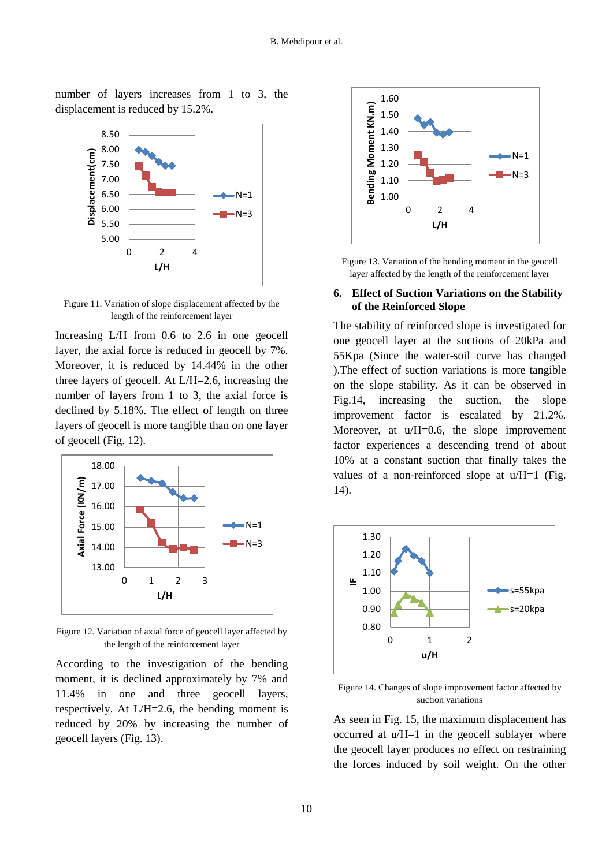number of layers increases from 1 to 3, the displacement is reduced by 15.2%.



Figure 11. Variation of slope displacement affected by the length of the reinforcement layer

Increasing L/H from 0.6 to 2.6 in one geocell layer, the axial force is reduced in geocell by 7%. Moreover, it is reduced by 14.44% in the other three layers of geocell. At L/H=2.6, increasing the number of layers from 1 to 3, the axial force is declined by 5.18%. The effect of length on three layers of geocell is more tangible than on one layer of geocell (Fig. 12).



Figure 12. Variation of axial force of geocell layer affected by the length of the reinforcement layer

According to the investigation of the bending moment, it is declined approximately by 7% and 11.4% in one and three geocell layers, respectively. At L/H=2.6, the bending moment is reduced by 20% by increasing the number of geocell layers (Fig. 13).



Figure 13. Variation of the bending moment in the geocell layer affected by the length of the reinforcement layer

## **6. Effect of Suction Variations on the Stability of the Reinforced Slope**

The stability of reinforced slope is investigated for one geocell layer at the suctions of 20kPa and 55Kpa (Since the water-soil curve has changed ).The effect of suction variations is more tangible on the slope stability. As it can be observed in Fig.14, increasing the suction, the slope improvement factor is escalated by 21.2%. Moreover, at u/H=0.6, the slope improvement factor experiences a descending trend of about 10% at a constant suction that finally takes the values of a non-reinforced slope at u/H=1 (Fig. 14).



Figure 14. Changes of slope improvement factor affected by suction variations

As seen in Fig. 15, the maximum displacement has occurred at u/H=1 in the geocell sublayer where the geocell layer produces no effect on restraining the forces induced by soil weight. On the other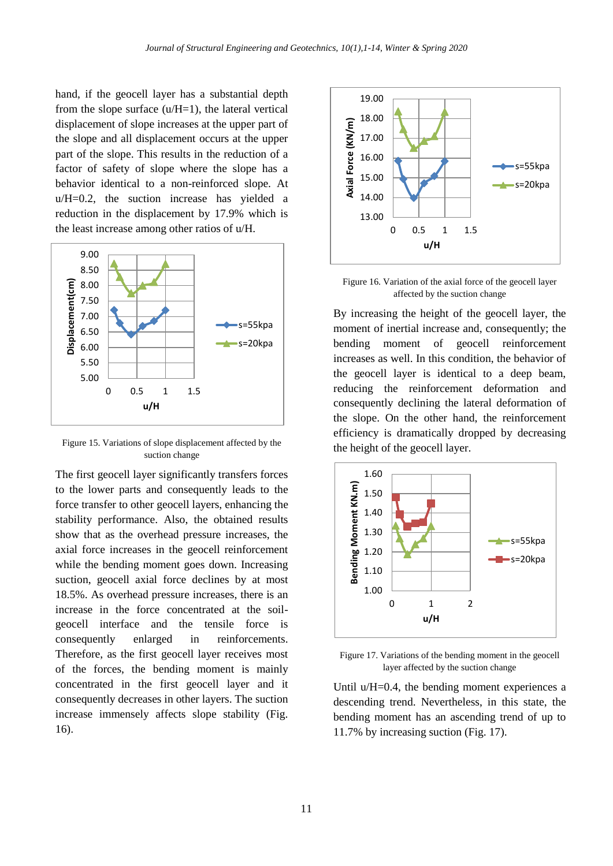hand, if the geocell layer has a substantial depth from the slope surface  $(u/H=1)$ , the lateral vertical displacement of slope increases at the upper part of the slope and all displacement occurs at the upper part of the slope. This results in the reduction of a factor of safety of slope where the slope has a behavior identical to a non-reinforced slope. At u/H=0.2, the suction increase has yielded a reduction in the displacement by 17.9% which is the least increase among other ratios of u/H.



Figure 15. Variations of slope displacement affected by the suction change

The first geocell layer significantly transfers forces to the lower parts and consequently leads to the force transfer to other geocell layers, enhancing the stability performance. Also, the obtained results show that as the overhead pressure increases, the axial force increases in the geocell reinforcement while the bending moment goes down. Increasing suction, geocell axial force declines by at most 18.5%. As overhead pressure increases, there is an increase in the force concentrated at the soilgeocell interface and the tensile force is consequently enlarged in reinforcements. Therefore, as the first geocell layer receives most of the forces, the bending moment is mainly concentrated in the first geocell layer and it consequently decreases in other layers. The suction increase immensely affects slope stability (Fig. 16).



Figure 16. Variation of the axial force of the geocell layer affected by the suction change

By increasing the height of the geocell layer, the moment of inertial increase and, consequently; the bending moment of geocell reinforcement increases as well. In this condition, the behavior of the geocell layer is identical to a deep beam, reducing the reinforcement deformation and consequently declining the lateral deformation of the slope. On the other hand, the reinforcement efficiency is dramatically dropped by decreasing the height of the geocell layer.



Figure 17. Variations of the bending moment in the geocell layer affected by the suction change

Until u/H=0.4, the bending moment experiences a descending trend. Nevertheless, in this state, the bending moment has an ascending trend of up to 11.7% by increasing suction (Fig. 17).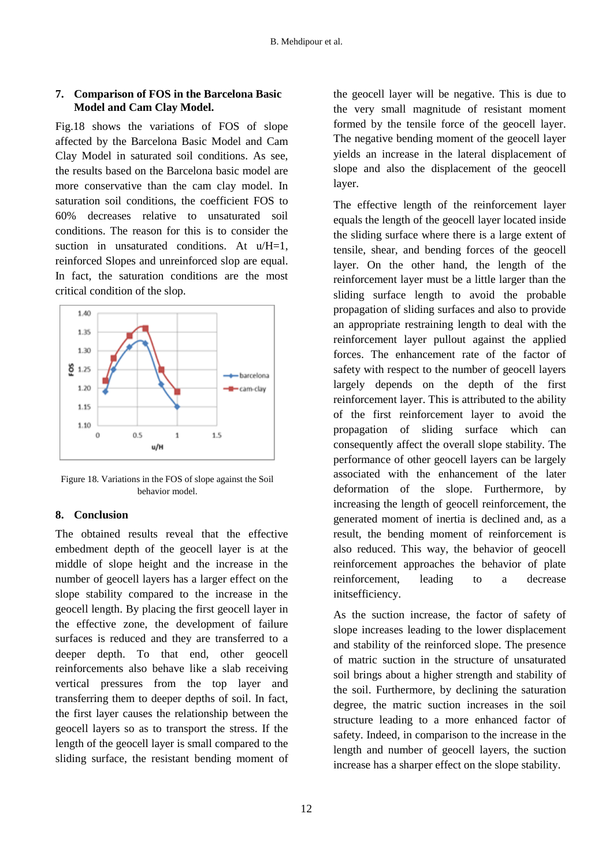# **7. Comparison of FOS in the Barcelona Basic Model and Cam Clay Model.**

Fig.18 shows the variations of FOS of slope affected by the Barcelona Basic Model and Cam Clay Model in saturated soil conditions. As see, the results based on the Barcelona basic model are more conservative than the cam clay model. In saturation soil conditions, the coefficient FOS to 60% decreases relative to unsaturated soil conditions. The reason for this is to consider the suction in unsaturated conditions. At  $u/H=1$ , reinforced Slopes and unreinforced slop are equal. In fact, the saturation conditions are the most critical condition of the slop.



Figure 18. Variations in the FOS of slope against the Soil behavior model.

# **8. Conclusion**

The obtained results reveal that the effective embedment depth of the geocell layer is at the middle of slope height and the increase in the number of geocell layers has a larger effect on the slope stability compared to the increase in the geocell length. By placing the first geocell layer in the effective zone, the development of failure surfaces is reduced and they are transferred to a deeper depth. To that end, other geocell reinforcements also behave like a slab receiving vertical pressures from the top layer and transferring them to deeper depths of soil. In fact, the first layer causes the relationship between the geocell layers so as to transport the stress. If the length of the geocell layer is small compared to the sliding surface, the resistant bending moment of the geocell layer will be negative. This is due to the very small magnitude of resistant moment formed by the tensile force of the geocell layer. The negative bending moment of the geocell layer yields an increase in the lateral displacement of slope and also the displacement of the geocell layer.

The effective length of the reinforcement layer equals the length of the geocell layer located inside the sliding surface where there is a large extent of tensile, shear, and bending forces of the geocell layer. On the other hand, the length of the reinforcement layer must be a little larger than the sliding surface length to avoid the probable propagation of sliding surfaces and also to provide an appropriate restraining length to deal with the reinforcement layer pullout against the applied forces. The enhancement rate of the factor of safety with respect to the number of geocell layers largely depends on the depth of the first reinforcement layer. This is attributed to the ability of the first reinforcement layer to avoid the propagation of sliding surface which can consequently affect the overall slope stability. The performance of other geocell layers can be largely associated with the enhancement of the later deformation of the slope. Furthermore, by increasing the length of geocell reinforcement, the generated moment of inertia is declined and, as a result, the bending moment of reinforcement is also reduced. This way, the behavior of geocell reinforcement approaches the behavior of plate reinforcement, leading to a decrease initsefficiency.

As the suction increase, the factor of safety of slope increases leading to the lower displacement and stability of the reinforced slope. The presence of matric suction in the structure of unsaturated soil brings about a higher strength and stability of the soil. Furthermore, by declining the saturation degree, the matric suction increases in the soil structure leading to a more enhanced factor of safety. Indeed, in comparison to the increase in the length and number of geocell layers, the suction increase has a sharper effect on the slope stability.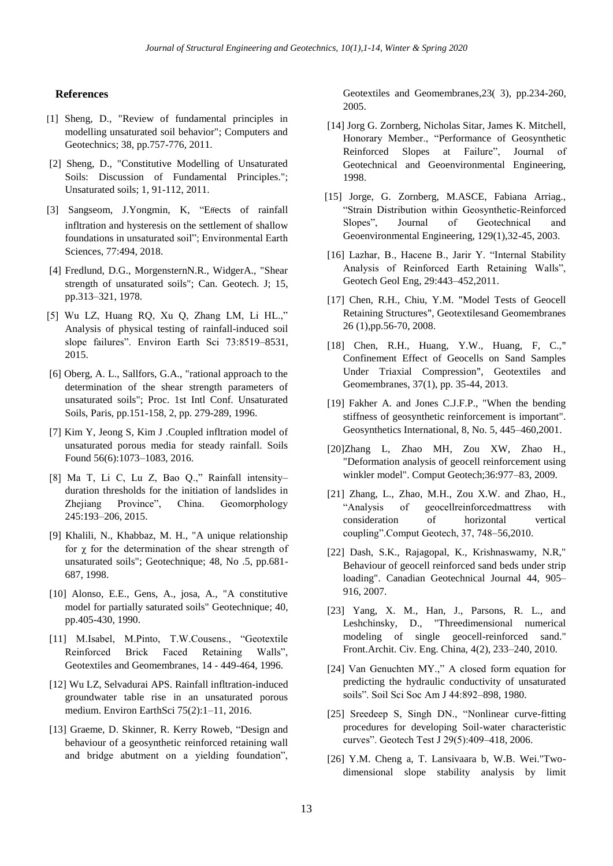#### **References**

- [1] Sheng, D., "Review of fundamental principles in modelling unsaturated soil behavior"; Computers and Geotechnics; 38, pp.757-776, 2011.
- [2] Sheng, D., "Constitutive Modelling of Unsaturated Soils: Discussion of Fundamental Principles."; Unsaturated soils; 1, 91-112, 2011.
- [3] Sangseom, J.Yongmin, K, "Effects of rainfall infltration and hysteresis on the settlement of shallow foundations in unsaturated soil"; Environmental Earth Sciences, 77:494, 2018.
- [4] Fredlund, D.G., MorgensternN.R., WidgerA., "Shear strength of unsaturated soils"; Can. Geotech. J; 15, pp.313–321, 1978.
- [5] Wu LZ, Huang RQ, Xu Q, Zhang LM, Li HL.," Analysis of physical testing of rainfall-induced soil slope failures". Environ Earth Sci 73:8519–8531, 2015.
- [6] Oberg, A. L., Sallfors, G.A., "rational approach to the determination of the shear strength parameters of unsaturated soils"; Proc. 1st Intl Conf. Unsaturated Soils, Paris, pp.151-158, 2, pp. 279-289, 1996.
- [7] Kim Y, Jeong S, Kim J .Coupled infltration model of unsaturated porous media for steady rainfall. Soils Found 56(6):1073–1083, 2016.
- [8] Ma T, Li C, Lu Z, Bao Q.," Rainfall intensity– duration thresholds for the initiation of landslides in Zhejiang Province", China. Geomorphology 245:193–206, 2015.
- [9] Khalili, N., Khabbaz, M. H., "A unique relationship for  $\gamma$  for the determination of the shear strength of unsaturated soils"; Geotechnique; 48, No .5, pp.681- 687, 1998.
- [10] Alonso, E.E., Gens, A., josa, A., "A constitutive model for partially saturated soils" Geotechnique; 40, pp.405-430, 1990.
- [11] M.Isabel, M.Pinto, T.W.Cousens., "Geotextile Reinforced Brick Faced Retaining Walls", Geotextiles and Geomembranes, 14 - 449-464, 1996.
- [12] Wu LZ, Selvadurai APS. Rainfall infltration-induced groundwater table rise in an unsaturated porous medium. Environ EarthSci 75(2):1–11, 2016.
- [13] Graeme, D. Skinner, R. Kerry Roweb, "Design and behaviour of a geosynthetic reinforced retaining wall and bridge abutment on a yielding foundation",

Geotextiles and Geomembranes,23( 3), pp.234-260, 2005.

- [14] Jorg G. Zornberg, Nicholas Sitar, James K. Mitchell, Honorary Member., "Performance of Geosynthetic Reinforced Slopes at Failure", Journal of Geotechnical and Geoenvironmental Engineering, 1998.
- [15] Jorge, G. Zornberg, M.ASCE, Fabiana Arriag., "Strain Distribution within Geosynthetic-Reinforced Slopes" Journal of Geotechnical and Geoenvironmental Engineering, 129(1),32-45, 2003.
- [16] Lazhar, B., Hacene B., Jarir Y. "Internal Stability Analysis of Reinforced Earth Retaining Walls", Geotech Geol Eng, 29:443–452,2011.
- [17] Chen, R.H., Chiu, Y.M. "Model Tests of Geocell Retaining Structures", Geotextilesand Geomembranes 26 (1),pp.56-70, 2008.
- [18] Chen, R.H., Huang, Y.W., Huang, F. C.," Confinement Effect of Geocells on Sand Samples Under Triaxial Compression", Geotextiles and Geomembranes, 37(1), pp. 35-44, 2013.
- [19] Fakher A. and Jones C.J.F.P., "When the bending stiffness of geosynthetic reinforcement is important". Geosynthetics International, 8, No. 5, 445–460,2001.
- [20]Zhang L, Zhao MH, Zou XW, Zhao H., "Deformation analysis of geocell reinforcement using winkler model". Comput Geotech;36:977–83, 2009.
- [21] Zhang, L., Zhao, M.H., Zou X.W. and Zhao, H., "Analysis of geocellreinforcedmattress with consideration of horizontal vertical coupling".Comput Geotech, 37, 748–56,2010.
- [22] Dash, S.K., Rajagopal, K., Krishnaswamy, N.R," Behaviour of geocell reinforced sand beds under strip loading". Canadian Geotechnical Journal 44, 905– 916, 2007.
- [23] Yang, X. M., Han, J., Parsons, R. L., and Leshchinsky, D., "Threedimensional numerical modeling of single geocell-reinforced sand." Front.Archit. Civ. Eng. China, 4(2), 233–240, 2010.
- [24] Van Genuchten MY.," A closed form equation for predicting the hydraulic conductivity of unsaturated soils". Soil Sci Soc Am J 44:892–898, 1980.
- [25] Sreedeep S, Singh DN., "Nonlinear curve-fitting procedures for developing Soil-water characteristic curves". Geotech Test J 29(5):409–418, 2006.
- [26] Y.M. Cheng a, T. Lansivaara b, W.B. Wei."Twodimensional slope stability analysis by limit